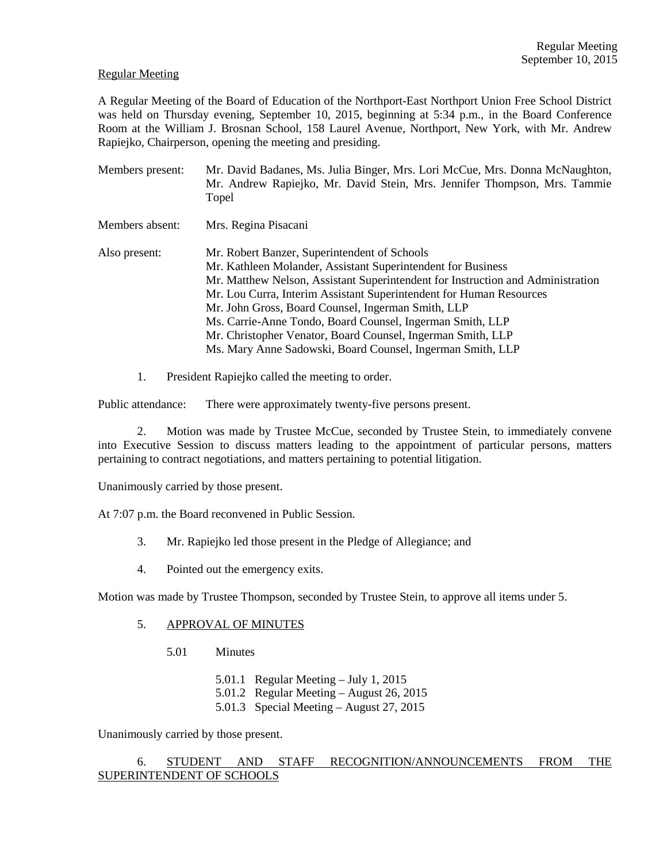#### Regular Meeting

A Regular Meeting of the Board of Education of the Northport-East Northport Union Free School District was held on Thursday evening, September 10, 2015, beginning at 5:34 p.m., in the Board Conference Room at the William J. Brosnan School, 158 Laurel Avenue, Northport, New York, with Mr. Andrew Rapiejko, Chairperson, opening the meeting and presiding.

- Members present: Mr. David Badanes, Ms. Julia Binger, Mrs. Lori McCue, Mrs. Donna McNaughton, Mr. Andrew Rapiejko, Mr. David Stein, Mrs. Jennifer Thompson, Mrs. Tammie Topel Members absent: Mrs. Regina Pisacani Also present: Mr. Robert Banzer, Superintendent of Schools Mr. Kathleen Molander, Assistant Superintendent for Business Mr. Matthew Nelson, Assistant Superintendent for Instruction and Administration Mr. Lou Curra, Interim Assistant Superintendent for Human Resources Mr. John Gross, Board Counsel, Ingerman Smith, LLP Ms. Carrie-Anne Tondo, Board Counsel, Ingerman Smith, LLP Mr. Christopher Venator, Board Counsel, Ingerman Smith, LLP Ms. Mary Anne Sadowski, Board Counsel, Ingerman Smith, LLP
	- 1. President Rapiejko called the meeting to order.

Public attendance: There were approximately twenty-five persons present.

2. Motion was made by Trustee McCue, seconded by Trustee Stein, to immediately convene into Executive Session to discuss matters leading to the appointment of particular persons, matters pertaining to contract negotiations, and matters pertaining to potential litigation.

Unanimously carried by those present.

At 7:07 p.m. the Board reconvened in Public Session.

- 3. Mr. Rapiejko led those present in the Pledge of Allegiance; and
- 4. Pointed out the emergency exits.

Motion was made by Trustee Thompson, seconded by Trustee Stein, to approve all items under 5.

#### 5. APPROVAL OF MINUTES

- 5.01 Minutes
	- 5.01.1 Regular Meeting July 1, 2015
	- 5.01.2 Regular Meeting August 26, 2015
	- 5.01.3 Special Meeting August 27, 2015

Unanimously carried by those present.

# 6. STUDENT AND STAFF RECOGNITION/ANNOUNCEMENTS FROM THE SUPERINTENDENT OF SCHOOLS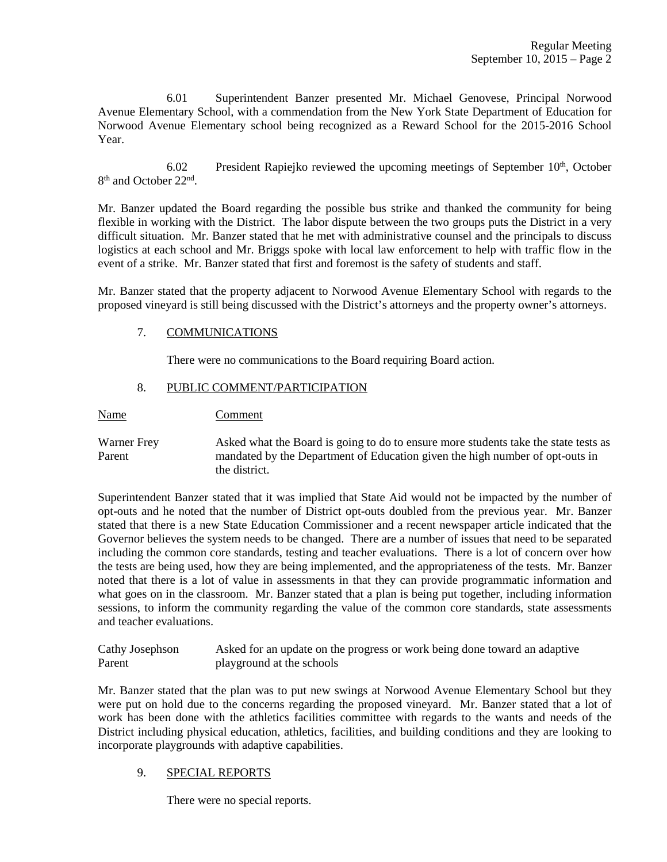6.01 Superintendent Banzer presented Mr. Michael Genovese, Principal Norwood Avenue Elementary School, with a commendation from the New York State Department of Education for Norwood Avenue Elementary school being recognized as a Reward School for the 2015-2016 School Year.

6.02 President Rapiejko reviewed the upcoming meetings of September  $10<sup>th</sup>$ , October 8<sup>th</sup> and October 22<sup>nd</sup>.

Mr. Banzer updated the Board regarding the possible bus strike and thanked the community for being flexible in working with the District. The labor dispute between the two groups puts the District in a very difficult situation. Mr. Banzer stated that he met with administrative counsel and the principals to discuss logistics at each school and Mr. Briggs spoke with local law enforcement to help with traffic flow in the event of a strike. Mr. Banzer stated that first and foremost is the safety of students and staff.

Mr. Banzer stated that the property adjacent to Norwood Avenue Elementary School with regards to the proposed vineyard is still being discussed with the District's attorneys and the property owner's attorneys.

## 7. COMMUNICATIONS

There were no communications to the Board requiring Board action.

# 8. PUBLIC COMMENT/PARTICIPATION

Name Comment

Warner Frey Asked what the Board is going to do to ensure more students take the state tests as Parent mandated by the Department of Education given the high number of opt-outs in the district.

Superintendent Banzer stated that it was implied that State Aid would not be impacted by the number of opt-outs and he noted that the number of District opt-outs doubled from the previous year. Mr. Banzer stated that there is a new State Education Commissioner and a recent newspaper article indicated that the Governor believes the system needs to be changed. There are a number of issues that need to be separated including the common core standards, testing and teacher evaluations. There is a lot of concern over how the tests are being used, how they are being implemented, and the appropriateness of the tests. Mr. Banzer noted that there is a lot of value in assessments in that they can provide programmatic information and what goes on in the classroom. Mr. Banzer stated that a plan is being put together, including information sessions, to inform the community regarding the value of the common core standards, state assessments and teacher evaluations.

Cathy Josephson Asked for an update on the progress or work being done toward an adaptive Parent playground at the schools

Mr. Banzer stated that the plan was to put new swings at Norwood Avenue Elementary School but they were put on hold due to the concerns regarding the proposed vineyard. Mr. Banzer stated that a lot of work has been done with the athletics facilities committee with regards to the wants and needs of the District including physical education, athletics, facilities, and building conditions and they are looking to incorporate playgrounds with adaptive capabilities.

## 9. SPECIAL REPORTS

There were no special reports.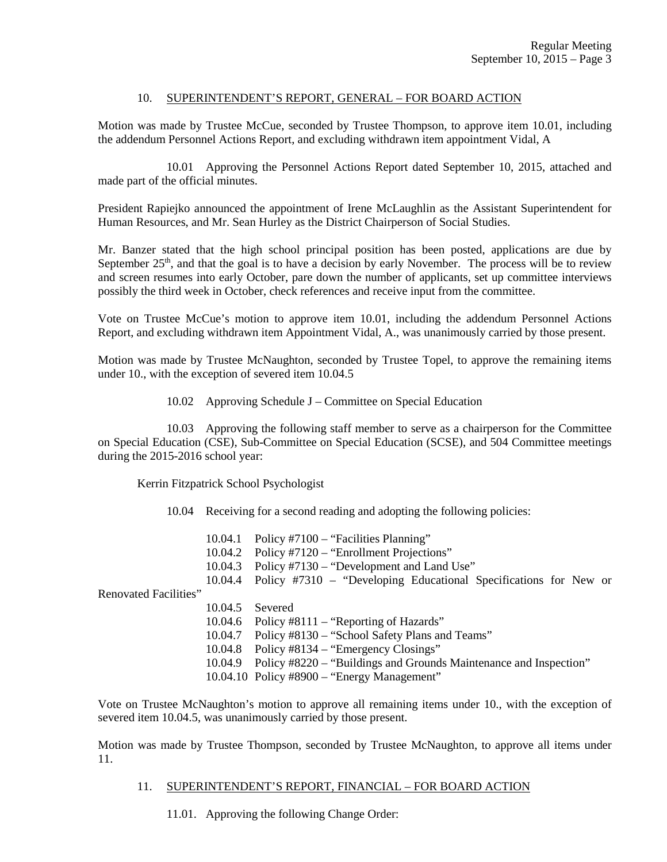## 10. SUPERINTENDENT'S REPORT, GENERAL – FOR BOARD ACTION

Motion was made by Trustee McCue, seconded by Trustee Thompson, to approve item 10.01, including the addendum Personnel Actions Report, and excluding withdrawn item appointment Vidal, A

 10.01 Approving the Personnel Actions Report dated September 10, 2015, attached and made part of the official minutes.

President Rapiejko announced the appointment of Irene McLaughlin as the Assistant Superintendent for Human Resources, and Mr. Sean Hurley as the District Chairperson of Social Studies.

Mr. Banzer stated that the high school principal position has been posted, applications are due by September  $25<sup>th</sup>$ , and that the goal is to have a decision by early November. The process will be to review and screen resumes into early October, pare down the number of applicants, set up committee interviews possibly the third week in October, check references and receive input from the committee.

Vote on Trustee McCue's motion to approve item 10.01, including the addendum Personnel Actions Report, and excluding withdrawn item Appointment Vidal, A., was unanimously carried by those present.

Motion was made by Trustee McNaughton, seconded by Trustee Topel, to approve the remaining items under 10., with the exception of severed item 10.04.5

10.02 Approving Schedule J – Committee on Special Education

 10.03 Approving the following staff member to serve as a chairperson for the Committee on Special Education (CSE), Sub-Committee on Special Education (SCSE), and 504 Committee meetings during the 2015-2016 school year:

Kerrin Fitzpatrick School Psychologist

10.04 Receiving for a second reading and adopting the following policies:

|                       | 10.04.1<br>10.04.2 | Policy #7100 – "Facilities Planning"<br>Policy #7120 – "Enrollment Projections" |
|-----------------------|--------------------|---------------------------------------------------------------------------------|
|                       | 10.04.3            | Policy #7130 – "Development and Land Use"                                       |
|                       | 10.04.4            | Policy #7310 – "Developing Educational Specifications for New or                |
| Renovated Facilities" |                    |                                                                                 |
|                       | 10.04.5            | Severed                                                                         |
|                       | 10.04.6            | Policy #8111 – "Reporting of Hazards"                                           |
|                       | 10.04.7            | Policy #8130 – "School Safety Plans and Teams"                                  |
|                       | 10.04.8            | Policy #8134 – "Emergency Closings"                                             |
|                       | 10.04.9            | Policy #8220 – "Buildings and Grounds Maintenance and Inspection"               |
|                       |                    | $10.04.10$ Policy #8900 – "Energy Management"                                   |

Vote on Trustee McNaughton's motion to approve all remaining items under 10., with the exception of severed item 10.04.5, was unanimously carried by those present.

Motion was made by Trustee Thompson, seconded by Trustee McNaughton, to approve all items under 11.

## 11. SUPERINTENDENT'S REPORT, FINANCIAL – FOR BOARD ACTION

11.01. Approving the following Change Order: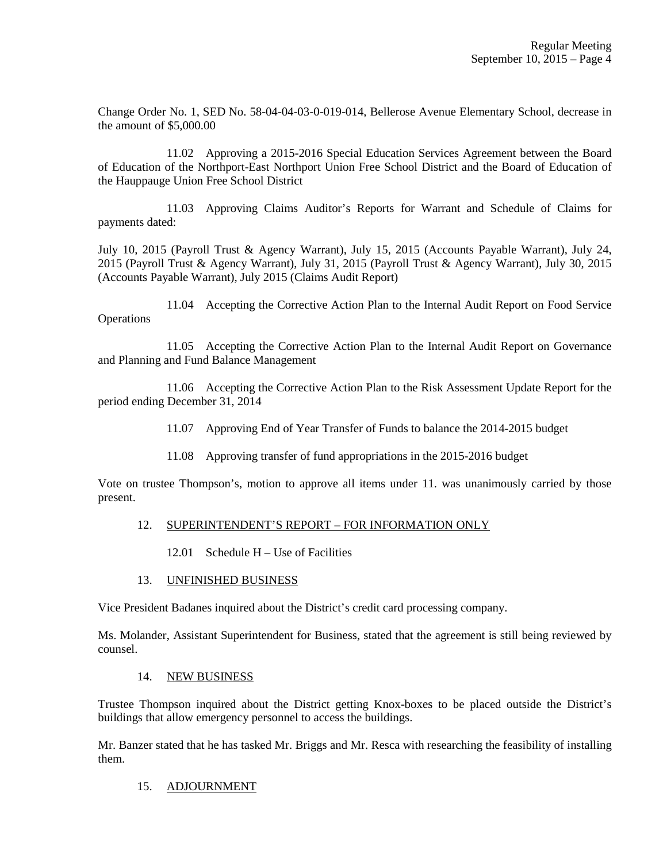Change Order No. 1, SED No. 58-04-04-03-0-019-014, Bellerose Avenue Elementary School, decrease in the amount of \$5,000.00

 11.02 Approving a 2015-2016 Special Education Services Agreement between the Board of Education of the Northport-East Northport Union Free School District and the Board of Education of the Hauppauge Union Free School District

 11.03 Approving Claims Auditor's Reports for Warrant and Schedule of Claims for payments dated:

July 10, 2015 (Payroll Trust & Agency Warrant), July 15, 2015 (Accounts Payable Warrant), July 24, 2015 (Payroll Trust & Agency Warrant), July 31, 2015 (Payroll Trust & Agency Warrant), July 30, 2015 (Accounts Payable Warrant), July 2015 (Claims Audit Report)

 11.04 Accepting the Corrective Action Plan to the Internal Audit Report on Food Service **Operations** 

 11.05 Accepting the Corrective Action Plan to the Internal Audit Report on Governance and Planning and Fund Balance Management

 11.06 Accepting the Corrective Action Plan to the Risk Assessment Update Report for the period ending December 31, 2014

- 11.07 Approving End of Year Transfer of Funds to balance the 2014-2015 budget
- 11.08 Approving transfer of fund appropriations in the 2015-2016 budget

Vote on trustee Thompson's, motion to approve all items under 11. was unanimously carried by those present.

## 12. SUPERINTENDENT'S REPORT – FOR INFORMATION ONLY

12.01 Schedule H – Use of Facilities

## 13. UNFINISHED BUSINESS

Vice President Badanes inquired about the District's credit card processing company.

Ms. Molander, Assistant Superintendent for Business, stated that the agreement is still being reviewed by counsel.

#### 14. NEW BUSINESS

Trustee Thompson inquired about the District getting Knox-boxes to be placed outside the District's buildings that allow emergency personnel to access the buildings.

Mr. Banzer stated that he has tasked Mr. Briggs and Mr. Resca with researching the feasibility of installing them.

## 15. ADJOURNMENT